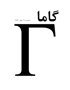# 66

## شماره ی ۱۲، پاییز ِ ۱۳۸۶

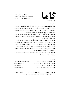$L_0$ 

ISSN 1735.1286

## به نام خدا

• گاما فصل نامه ای است به زبان په فارسی، در باره ی ِ فیزیک. آن چه در گاما منتشر می شود بیش تر مقالهها ي ِ آموزشي، در زمينه ي ِ فرهنگ يا تاريخ ِ فيزيک، يا در مورد ِ مسائل ِ فيزيک در ایران است، و قرار است جنبه ی ِ آموزشی و فرهنگی داشته باشد و برای دانشجویان ِ فیزیک یا دانش آموخته گان <sub>-</sub> فیزیک، یا دستِکم بخش ی از آنها قابل|ستفاده باشد. • مقالههای گاما نوعاً تألیفی اند. سعی بر این است که فقط مقالهها ی ِ کلاسیک ِ فیزیک، و نوشتهها ی ِ فیزیک پیشهها ی ِ بزرگ ترجمه شود. اگر می خواهید چیز ی را ترجمه کنید، لطفاً اول با هیئت \_ ویراستاران تماس بگیرید. • برا ی تماس با گاما، و از جمله فرستادن بمقاله، لطفاً با یک ی از ویراستاران بگاما تماس یگیرید. • بذیرش په مقاله یا هیئت په ویراستاران و پر اساس په روش په متداول په داور ی توسّط په داور باشناس است. هیئت ِ ویراستاران یا مقاله را می پذیرد، یا رد می کند، امّا هرگز در نوشته ی ِ نویسنده دخل و تصرّف ی نمی کند. اگر به نظر ِ داور تغییر ی در مقاله لازم باشد، اعمال ِ این تغییر با خود ِ نویسنده (ها) است. • مقالهی پلیرفته شده، پیش از چاپ، بر اساس 1 آخرین نسخه ای که نویسنده فرستاده حروفچینی مے شود و پس از تأیید \_ نویسندہ است که چاپ مے شود . • © تمام ِ حقوق ِ مادّي و معنوي ي ِ آن چه در گاما منتشر ميشود متعلق است به گاما، مگر در موارد ی که صراحتاً مشخّص شده باشد.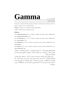## Gamma

ISSN 1735.1286

Gamma is a quarterly Persian magazine, devoted to educational and cultural articles in physics. Gamma is not a research journal.

Address: Gamma, P. O. Box 633, Tehran 19935, IRAN.

 $\odot$  2004 - 2007, Gamma, all rights reserved.

### **Editors**

• A. Aghamohammadi Prof. of Physics, Alzahra University, Tehran 19938-91167, Iran. a aghamohammadi@yahoo.com

• A. H. Fatollahi Asoc. Prof. of Physics, Alzahra University, Tehran 19938-91167, Iran. ahfatol@gmail.com

• A. Shafikhani Asoc. Prof. of Physics, Alzahra University, Tehran 19938-91167, Iran. ashafie@ipm.ir

• A. Shariati Asoc. Prof. of Physics, Alzahra University, Tehran 19938-91167, Iran. shariati@mailaps.org

اشتراک (چهار شماره) عادی ۱۰۰۰۰ تومان، دانشجویی ۲۰۰۰ تومان، موسسهها ۱۰۰۰ تومان. ر با بالاست المستخدم المستخدم المستخدم المستخدم المستخدم المستخدم المستخدم المستخدم المستخدم المستخدم المستخدم المستخدم المستخدم المستخدم المستخدم المستخدم المستخدم المستخدم المستخدم المستخدم المستخدم المستخدم المستخدم ا -5\$ &-Q( A 0

بر التي استراب ابون إستراب را به حساب إستدرا بي المسترد المسترد بالعاص إستم، ستنبه بي ۔ دانش کاہ ۔ الزهرا (کد ۔ ۲۲۱) به نام ۔ احمد شریعتی، بریزید. اصل ۔ رسید ۔ بانک را پیش ۔ خود 7A.) - #  J NHm l - (  ( C 5 V 5E - 2F" " #4 Vi & - ;- 2 F) #\$ ا ) معتبر کوئی کی که واریز شماه است از اسم و تشایع کی کامل کریزمانه کی مجته (تصف کند کشینی را هم بنويسيد).